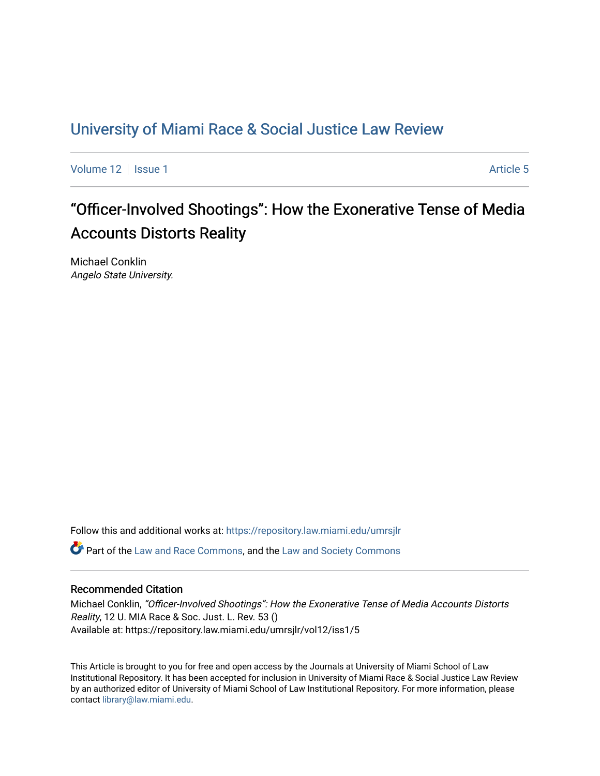### [University of Miami Race & Social Justice Law Review](https://repository.law.miami.edu/umrsjlr)

[Volume 12](https://repository.law.miami.edu/umrsjlr/vol12) Setup 1 Article 5

# "Officer-Involved Shootings": How the Exonerative Tense of Media Accounts Distorts Reality

Michael Conklin Angelo State University.

Follow this and additional works at: [https://repository.law.miami.edu/umrsjlr](https://repository.law.miami.edu/umrsjlr?utm_source=repository.law.miami.edu%2Fumrsjlr%2Fvol12%2Fiss1%2F5&utm_medium=PDF&utm_campaign=PDFCoverPages)

Part of the [Law and Race Commons,](http://network.bepress.com/hgg/discipline/1300?utm_source=repository.law.miami.edu%2Fumrsjlr%2Fvol12%2Fiss1%2F5&utm_medium=PDF&utm_campaign=PDFCoverPages) and the [Law and Society Commons](http://network.bepress.com/hgg/discipline/853?utm_source=repository.law.miami.edu%2Fumrsjlr%2Fvol12%2Fiss1%2F5&utm_medium=PDF&utm_campaign=PDFCoverPages) 

### Recommended Citation

Michael Conklin, "Officer-Involved Shootings": How the Exonerative Tense of Media Accounts Distorts Reality, 12 U. MIA Race & Soc. Just. L. Rev. 53 () Available at: https://repository.law.miami.edu/umrsjlr/vol12/iss1/5

This Article is brought to you for free and open access by the Journals at University of Miami School of Law Institutional Repository. It has been accepted for inclusion in University of Miami Race & Social Justice Law Review by an authorized editor of University of Miami School of Law Institutional Repository. For more information, please contact [library@law.miami.edu](mailto:library@law.miami.edu).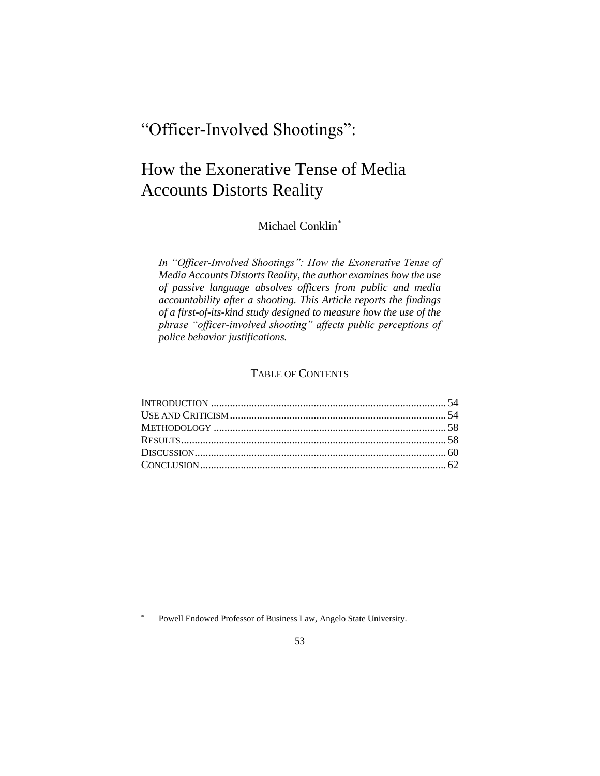## "Officer-Involved Shootings":

## How the Exonerative Tense of Media Accounts Distorts Reality

Michael Conklin\*

*In "Officer-Involved Shootings": How the Exonerative Tense of Media Accounts Distorts Reality, the author examines how the use of passive language absolves officers from public and media accountability after a shooting. This Article reports the findings of a first-of-its-kind study designed to measure how the use of the phrase "officer-involved shooting" affects public perceptions of police behavior justifications.*

### TABLE OF CONTENTS

Powell Endowed Professor of Business Law, Angelo State University.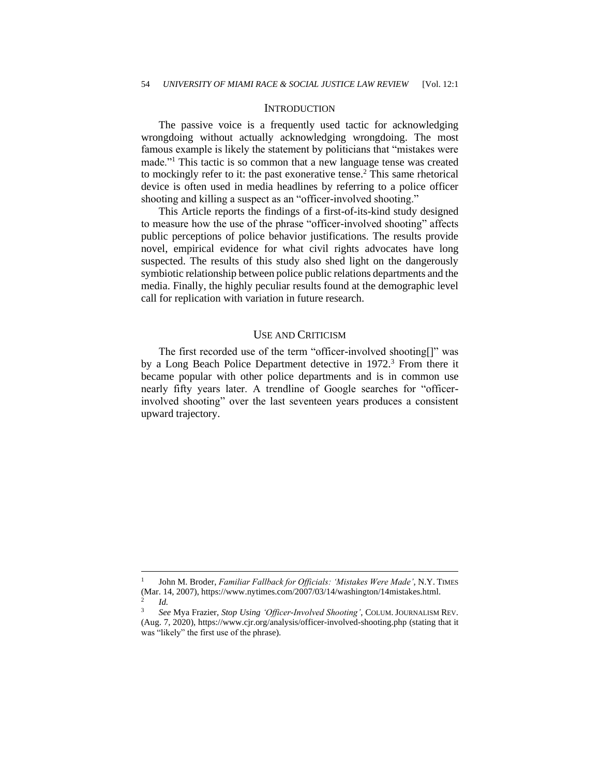#### **INTRODUCTION**

The passive voice is a frequently used tactic for acknowledging wrongdoing without actually acknowledging wrongdoing. The most famous example is likely the statement by politicians that "mistakes were made."<sup>1</sup> This tactic is so common that a new language tense was created to mockingly refer to it: the past exonerative tense.<sup>2</sup> This same rhetorical device is often used in media headlines by referring to a police officer shooting and killing a suspect as an "officer-involved shooting."

This Article reports the findings of a first-of-its-kind study designed to measure how the use of the phrase "officer-involved shooting" affects public perceptions of police behavior justifications. The results provide novel, empirical evidence for what civil rights advocates have long suspected. The results of this study also shed light on the dangerously symbiotic relationship between police public relations departments and the media. Finally, the highly peculiar results found at the demographic level call for replication with variation in future research.

#### USE AND CRITICISM

The first recorded use of the term "officer-involved shooting[]" was by a Long Beach Police Department detective in 1972.<sup>3</sup> From there it became popular with other police departments and is in common use nearly fifty years later. A trendline of Google searches for "officerinvolved shooting" over the last seventeen years produces a consistent upward trajectory.

<sup>1</sup> John M. Broder, *Familiar Fallback for Officials: 'Mistakes Were Made'*, N.Y. TIMES (Mar. 14, 2007), https://www.nytimes.com/2007/03/14/washington/14mistakes.html. 2 *Id.*

<sup>3</sup> *See* Mya Frazier, *Stop Using 'Officer-Involved Shooting'*, COLUM. JOURNALISM REV. (Aug. 7, 2020),<https://www.cjr.org/analysis/officer-involved-shooting.php> (stating that it was "likely" the first use of the phrase).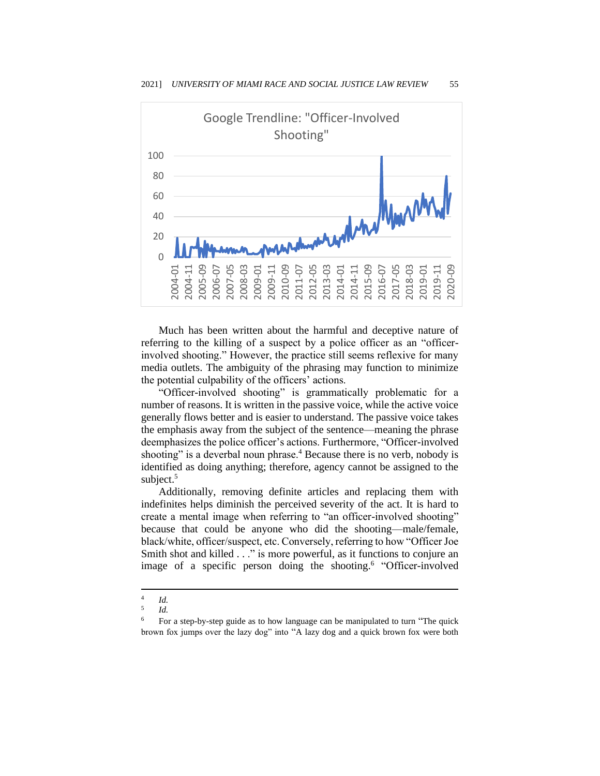

Much has been written about the harmful and deceptive nature of referring to the killing of a suspect by a police officer as an "officerinvolved shooting." However, the practice still seems reflexive for many media outlets. The ambiguity of the phrasing may function to minimize the potential culpability of the officers' actions.

"Officer-involved shooting" is grammatically problematic for a number of reasons. It is written in the passive voice, while the active voice generally flows better and is easier to understand. The passive voice takes the emphasis away from the subject of the sentence—meaning the phrase deemphasizes the police officer's actions. Furthermore, "Officer-involved shooting" is a deverbal noun phrase.<sup>4</sup> Because there is no verb, nobody is identified as doing anything; therefore, agency cannot be assigned to the subject.<sup>5</sup>

Additionally, removing definite articles and replacing them with indefinites helps diminish the perceived severity of the act. It is hard to create a mental image when referring to "an officer-involved shooting" because that could be anyone who did the shooting—male/female, black/white, officer/suspect, etc. Conversely, referring to how "Officer Joe Smith shot and killed . . ." is more powerful, as it functions to conjure an image of a specific person doing the shooting.<sup>6</sup> "Officer-involved

<sup>4</sup> *Id.*

<sup>5</sup> *Id.*

<sup>6</sup> For a step-by-step guide as to how language can be manipulated to turn "The quick brown fox jumps over the lazy dog" into "A lazy dog and a quick brown fox were both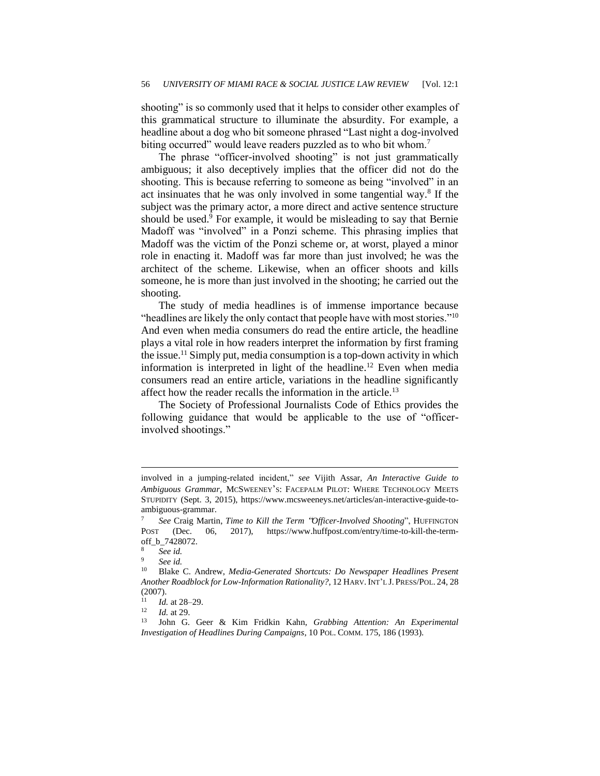shooting" is so commonly used that it helps to consider other examples of this grammatical structure to illuminate the absurdity. For example, a headline about a dog who bit someone phrased "Last night a dog-involved biting occurred" would leave readers puzzled as to who bit whom.<sup>7</sup>

The phrase "officer-involved shooting" is not just grammatically ambiguous; it also deceptively implies that the officer did not do the shooting. This is because referring to someone as being "involved" in an act insinuates that he was only involved in some tangential way.<sup>8</sup> If the subject was the primary actor, a more direct and active sentence structure should be used. $9$  For example, it would be misleading to say that Bernie Madoff was "involved" in a Ponzi scheme. This phrasing implies that Madoff was the victim of the Ponzi scheme or, at worst, played a minor role in enacting it. Madoff was far more than just involved; he was the architect of the scheme. Likewise, when an officer shoots and kills someone, he is more than just involved in the shooting; he carried out the shooting.

The study of media headlines is of immense importance because "headlines are likely the only contact that people have with most stories."<sup>10</sup> And even when media consumers do read the entire article, the headline plays a vital role in how readers interpret the information by first framing the issue.<sup>11</sup> Simply put, media consumption is a top-down activity in which information is interpreted in light of the headline.<sup>12</sup> Even when media consumers read an entire article, variations in the headline significantly affect how the reader recalls the information in the article.<sup>13</sup>

The Society of Professional Journalists Code of Ethics provides the following guidance that would be applicable to the use of "officerinvolved shootings."

involved in a jumping-related incident," *see* Vijith Assar, *An Interactive Guide to Ambiguous Grammar*, MCSWEENEY'S: FACEPALM PILOT: WHERE TECHNOLOGY MEETS STUPIDITY (Sept. 3, 2015), https://www.mcsweeneys.net/articles/an-interactive-guide-toambiguous-grammar.

<sup>7</sup> *See* Craig Martin, *Time to Kill the Term* "*Officer-Involved Shooting*", HUFFINGTON POST (Dec. 06, 2017), https://www.huffpost.com/entry/time-to-kill-the-termoff\_b\_7428072.

<sup>8</sup> *See id.*

 $\frac{9}{10}$  *See id.* 

<sup>10</sup> Blake C. Andrew, *Media-Generated Shortcuts: Do Newspaper Headlines Present Another Roadblock for Low-Information Rationality?*, 12 HARV.INT'L J. PRESS/POL. 24, 28 (2007).

 $\frac{11}{12}$  *Id.* at 28–29.

 $\frac{12}{13}$  *Id.* at 29.

<sup>13</sup> John G. Geer & Kim Fridkin Kahn, *Grabbing Attention: An Experimental Investigation of Headlines During Campaigns*, 10 POL. COMM. 175, 186 (1993).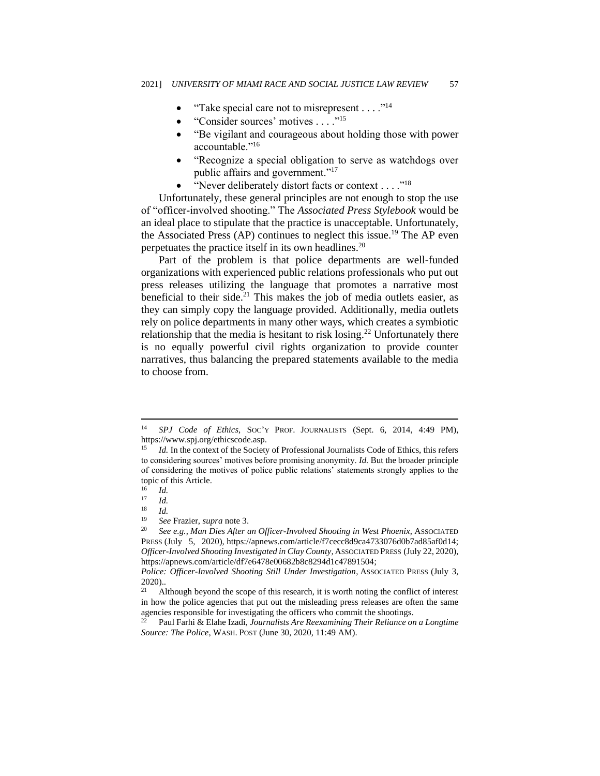- "Take special care not to misrepresent  $\dots$ ."<sup>14</sup>
- "Consider sources' motives . . . ."<sup>15</sup>
- "Be vigilant and courageous about holding those with power accountable."<sup>16</sup>
- "Recognize a special obligation to serve as watchdogs over public affairs and government."<sup>17</sup>
- "Never deliberately distort facts or context . . . ."<sup>18</sup>

Unfortunately, these general principles are not enough to stop the use of "officer-involved shooting." The *Associated Press Stylebook* would be an ideal place to stipulate that the practice is unacceptable. Unfortunately, the Associated Press (AP) continues to neglect this issue.<sup>19</sup> The AP even perpetuates the practice itself in its own headlines.<sup>20</sup>

Part of the problem is that police departments are well-funded organizations with experienced public relations professionals who put out press releases utilizing the language that promotes a narrative most beneficial to their side.<sup>21</sup> This makes the job of media outlets easier, as they can simply copy the language provided. Additionally, media outlets rely on police departments in many other ways, which creates a symbiotic relationship that the media is hesitant to risk losing.<sup>22</sup> Unfortunately there is no equally powerful civil rights organization to provide counter narratives, thus balancing the prepared statements available to the media to choose from.

<sup>14</sup> *SPJ Code of Ethics*, SOC'Y PROF. JOURNALISTS (Sept. 6, 2014, 4:49 PM), https://www.spj.org/ethicscode.asp.

<sup>15</sup> *Id.* In the context of the Society of Professional Journalists Code of Ethics, this refers to considering sources' motives before promising anonymity. *Id.* But the broader principle of considering the motives of police public relations' statements strongly applies to the topic of this Article.

 $\frac{16}{17}$  *Id.* 

 $\frac{17}{18}$  *Id.* 

 $\frac{18}{19}$  *Id.* 

<sup>19</sup> *See* Frazier, *supra* note 3.

<sup>20</sup> *See e.g.*, *Man Dies After an Officer-Involved Shooting in West Phoenix*, ASSOCIATED PRESS (July 5, 2020), https://apnews.com/article/f7cecc8d9ca4733076d0b7ad85af0d14; *Officer-Involved Shooting Investigated in Clay County,* ASSOCIATED PRESS (July 22, 2020), [https://apnews.com/article/df7e6478e00682b8c8294d1c47891504;](https://apnews.com/article/df7e6478e00682b8c8294d1c47891504)

*Police: Officer-Involved Shooting Still Under Investigation*, ASSOCIATED PRESS (July 3,  $2020$ )...

<sup>21</sup> Although beyond the scope of this research, it is worth noting the conflict of interest in how the police agencies that put out the misleading press releases are often the same agencies responsible for investigating the officers who commit the shootings.

<sup>22</sup> Paul Farhi & Elahe Izadi, *Journalists Are Reexamining Their Reliance on a Longtime Source: The Police*, WASH. POST (June 30, 2020, 11:49 AM).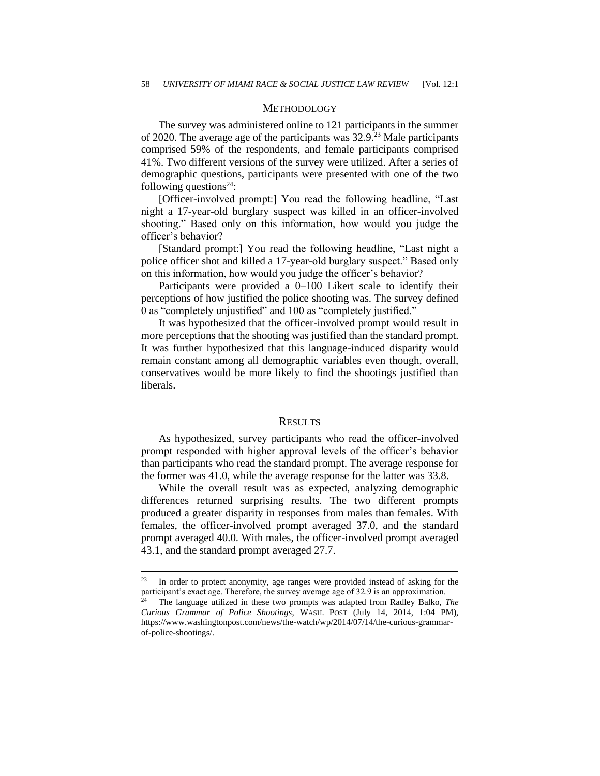#### **METHODOLOGY**

The survey was administered online to 121 participants in the summer of 2020. The average age of the participants was 32.9. <sup>23</sup> Male participants comprised 59% of the respondents, and female participants comprised 41%. Two different versions of the survey were utilized. After a series of demographic questions, participants were presented with one of the two following questions<sup>24</sup>:

[Officer-involved prompt:] You read the following headline, "Last night a 17-year-old burglary suspect was killed in an officer-involved shooting." Based only on this information, how would you judge the officer's behavior?

[Standard prompt:] You read the following headline, "Last night a police officer shot and killed a 17-year-old burglary suspect." Based only on this information, how would you judge the officer's behavior?

Participants were provided a 0–100 Likert scale to identify their perceptions of how justified the police shooting was. The survey defined 0 as "completely unjustified" and 100 as "completely justified."

It was hypothesized that the officer-involved prompt would result in more perceptions that the shooting was justified than the standard prompt. It was further hypothesized that this language-induced disparity would remain constant among all demographic variables even though, overall, conservatives would be more likely to find the shootings justified than liberals.

#### RESULTS

As hypothesized, survey participants who read the officer-involved prompt responded with higher approval levels of the officer's behavior than participants who read the standard prompt. The average response for the former was 41.0, while the average response for the latter was 33.8.

While the overall result was as expected, analyzing demographic differences returned surprising results. The two different prompts produced a greater disparity in responses from males than females. With females, the officer-involved prompt averaged 37.0, and the standard prompt averaged 40.0. With males, the officer-involved prompt averaged 43.1, and the standard prompt averaged 27.7.

<sup>23</sup> In order to protect anonymity, age ranges were provided instead of asking for the participant's exact age. Therefore, the survey average age of 32.9 is an approximation.

The language utilized in these two prompts was adapted from Radley Balko, *The Curious Grammar of Police Shootings*, WASH. POST (July 14, 2014, 1:04 PM), https://www.washingtonpost.com/news/the-watch/wp/2014/07/14/the-curious-grammarof-police-shootings/.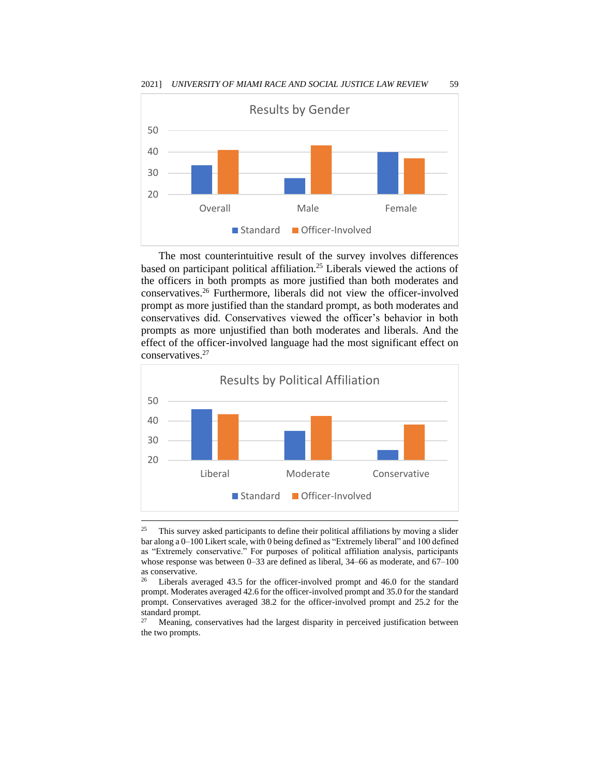

The most counterintuitive result of the survey involves differences based on participant political affiliation.<sup>25</sup> Liberals viewed the actions of the officers in both prompts as more justified than both moderates and conservatives.<sup>26</sup> Furthermore, liberals did not view the officer-involved prompt as more justified than the standard prompt, as both moderates and conservatives did. Conservatives viewed the officer's behavior in both prompts as more unjustified than both moderates and liberals. And the effect of the officer-involved language had the most significant effect on conservatives.<sup>27</sup>



<sup>&</sup>lt;sup>25</sup> This survey asked participants to define their political affiliations by moving a slider bar along a 0–100 Likert scale, with 0 being defined as "Extremely liberal" and 100 defined as "Extremely conservative." For purposes of political affiliation analysis, participants whose response was between 0–33 are defined as liberal, 34–66 as moderate, and 67–100 as conservative.<br> $26 \tI$ ihorale, or

Liberals averaged 43.5 for the officer-involved prompt and 46.0 for the standard prompt. Moderates averaged 42.6 for the officer-involved prompt and 35.0 for the standard prompt. Conservatives averaged 38.2 for the officer-involved prompt and 25.2 for the standard prompt.<br><sup>27</sup> Meaning co

Meaning, conservatives had the largest disparity in perceived justification between the two prompts.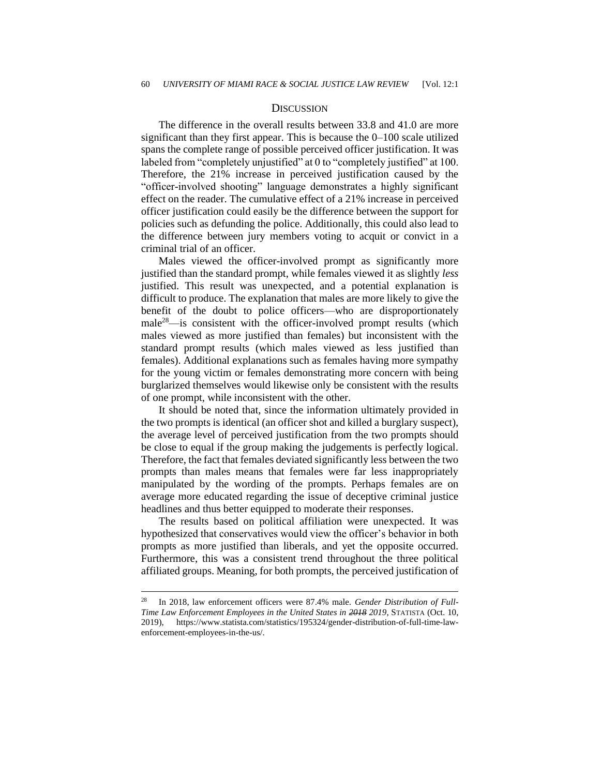#### **DISCUSSION**

The difference in the overall results between 33.8 and 41.0 are more significant than they first appear. This is because the 0–100 scale utilized spans the complete range of possible perceived officer justification. It was labeled from "completely unjustified" at 0 to "completely justified" at 100. Therefore, the 21% increase in perceived justification caused by the "officer-involved shooting" language demonstrates a highly significant effect on the reader. The cumulative effect of a 21% increase in perceived officer justification could easily be the difference between the support for policies such as defunding the police. Additionally, this could also lead to the difference between jury members voting to acquit or convict in a criminal trial of an officer.

Males viewed the officer-involved prompt as significantly more justified than the standard prompt, while females viewed it as slightly *less* justified. This result was unexpected, and a potential explanation is difficult to produce. The explanation that males are more likely to give the benefit of the doubt to police officers—who are disproportionately male<sup>28</sup>—is consistent with the officer-involved prompt results (which males viewed as more justified than females) but inconsistent with the standard prompt results (which males viewed as less justified than females). Additional explanations such as females having more sympathy for the young victim or females demonstrating more concern with being burglarized themselves would likewise only be consistent with the results of one prompt, while inconsistent with the other.

It should be noted that, since the information ultimately provided in the two prompts is identical (an officer shot and killed a burglary suspect), the average level of perceived justification from the two prompts should be close to equal if the group making the judgements is perfectly logical. Therefore, the fact that females deviated significantly less between the two prompts than males means that females were far less inappropriately manipulated by the wording of the prompts. Perhaps females are on average more educated regarding the issue of deceptive criminal justice headlines and thus better equipped to moderate their responses.

The results based on political affiliation were unexpected. It was hypothesized that conservatives would view the officer's behavior in both prompts as more justified than liberals, and yet the opposite occurred. Furthermore, this was a consistent trend throughout the three political affiliated groups. Meaning, for both prompts, the perceived justification of

<sup>28</sup> In 2018, law enforcement officers were 87.4% male. *Gender Distribution of Full-Time Law Enforcement Employees in the United States in 2018 2019*, STATISTA (Oct. 10, 2019), https://www.statista.com/statistics/195324/gender-distribution-of-full-time-lawenforcement-employees-in-the-us/.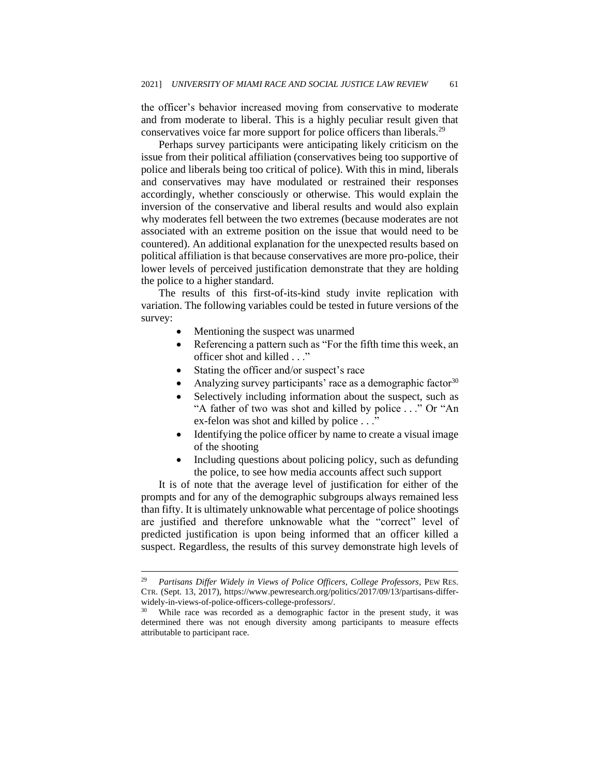the officer's behavior increased moving from conservative to moderate and from moderate to liberal. This is a highly peculiar result given that conservatives voice far more support for police officers than liberals.<sup>29</sup>

Perhaps survey participants were anticipating likely criticism on the issue from their political affiliation (conservatives being too supportive of police and liberals being too critical of police). With this in mind, liberals and conservatives may have modulated or restrained their responses accordingly, whether consciously or otherwise. This would explain the inversion of the conservative and liberal results and would also explain why moderates fell between the two extremes (because moderates are not associated with an extreme position on the issue that would need to be countered). An additional explanation for the unexpected results based on political affiliation is that because conservatives are more pro-police, their lower levels of perceived justification demonstrate that they are holding the police to a higher standard.

The results of this first-of-its-kind study invite replication with variation. The following variables could be tested in future versions of the survey:

- Mentioning the suspect was unarmed
- Referencing a pattern such as "For the fifth time this week, an officer shot and killed . . ."
- Stating the officer and/or suspect's race
- Analyzing survey participants' race as a demographic factor $30$
- Selectively including information about the suspect, such as "A father of two was shot and killed by police . . ." Or "An ex-felon was shot and killed by police . . ."
- Identifying the police officer by name to create a visual image of the shooting
- Including questions about policing policy, such as defunding the police, to see how media accounts affect such support

It is of note that the average level of justification for either of the prompts and for any of the demographic subgroups always remained less than fifty. It is ultimately unknowable what percentage of police shootings are justified and therefore unknowable what the "correct" level of predicted justification is upon being informed that an officer killed a suspect. Regardless, the results of this survey demonstrate high levels of

<sup>29</sup> *Partisans Differ Widely in Views of Police Officers, College Professors*, PEW RES. CTR. (Sept. 13, 2017), https://www.pewresearch.org/politics/2017/09/13/partisans-differwidely-in-views-of-police-officers-college-professors/.

While race was recorded as a demographic factor in the present study, it was determined there was not enough diversity among participants to measure effects attributable to participant race.